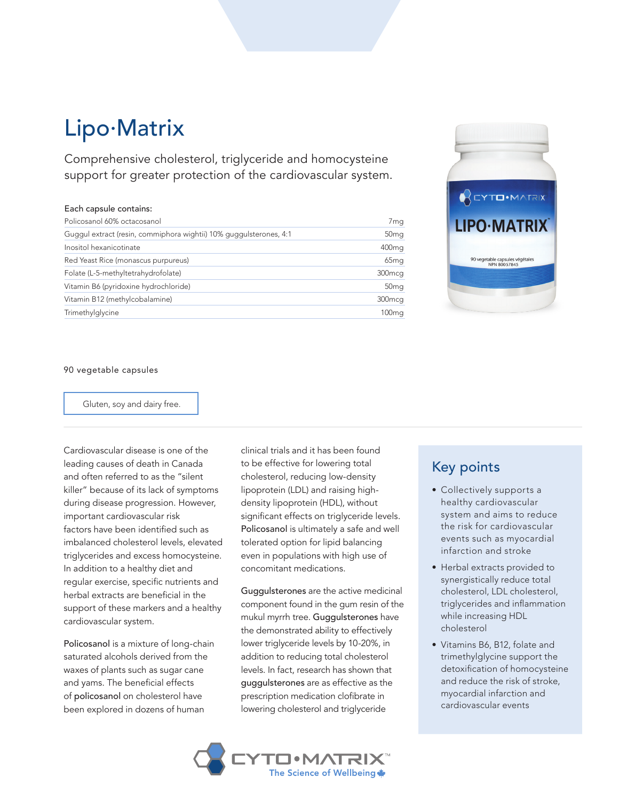# Lipo.Matrix

Comprehensive cholesterol, triglyceride and homocysteine support for greater protection of the cardiovascular system.

#### Each capsule contains:

| Policosanol 60% octacosanol                                        | 7 <sub>mg</sub>    |
|--------------------------------------------------------------------|--------------------|
| Guggul extract (resin, commiphora wightii) 10% guggulsterones, 4:1 | 50 <sub>mg</sub>   |
| Inositol hexanicotinate                                            | 400 <sub>mg</sub>  |
| Red Yeast Rice (monascus purpureus)                                | 65 <sub>mg</sub>   |
| Folate (L-5-methyltetrahydrofolate)                                | 300 <sub>mcq</sub> |
| Vitamin B6 (pyridoxine hydrochloride)                              | 50 <sub>mg</sub>   |
| Vitamin B12 (methylcobalamine)                                     | 300 <sub>mcq</sub> |
| Trimethylglycine                                                   | 100 <sub>mg</sub>  |



#### 90 vegetable capsules

Gluten, soy and dairy free.

Cardiovascular disease is one of the leading causes of death in Canada and often referred to as the "silent killer" because of its lack of symptoms during disease progression. However, important cardiovascular risk factors have been identified such as imbalanced cholesterol levels, elevated triglycerides and excess homocysteine. In addition to a healthy diet and regular exercise, specific nutrients and herbal extracts are beneficial in the support of these markers and a healthy cardiovascular system.

Policosanol is a mixture of long-chain saturated alcohols derived from the waxes of plants such as sugar cane and yams. The beneficial effects of policosanol on cholesterol have been explored in dozens of human

clinical trials and it has been found to be effective for lowering total cholesterol, reducing low-density lipoprotein (LDL) and raising highdensity lipoprotein (HDL), without significant effects on triglyceride levels. Policosanol is ultimately a safe and well tolerated option for lipid balancing even in populations with high use of concomitant medications.

Guggulsterones are the active medicinal component found in the gum resin of the mukul myrrh tree. Guggulsterones have the demonstrated ability to effectively lower triglyceride levels by 10-20%, in addition to reducing total cholesterol levels. In fact, research has shown that guggulsterones are as effective as the prescription medication clofibrate in lowering cholesterol and triglyceride

### Key points

- Collectively supports a healthy cardiovascular system and aims to reduce the risk for cardiovascular events such as myocardial infarction and stroke
- Herbal extracts provided to synergistically reduce total cholesterol, LDL cholesterol, triglycerides and inflammation while increasing HDL cholesterol
- Vitamins B6, B12, folate and trimethylglycine support the detoxification of homocysteine and reduce the risk of stroke, myocardial infarction and cardiovascular events